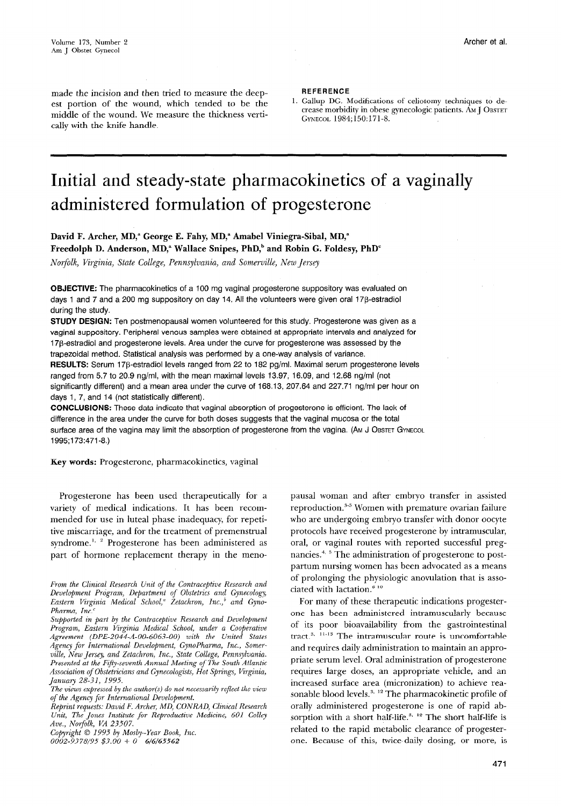made the incision and then tried to measure the deepest portion of the wound, which tended to be the middle of the wound. We measure the thickness vertically with the knife handle.

**REFERENCE** 

1. Gallup DG. Modifications of celiotomy techniques to decrease morbidity in obese gynecologic patients. AM J OBSTET GYNECOL 1984;150:171-8.

# Initial and steady-state pharmacokinetics of a vaginally administered formulation of progesterone

David F. Archer, MD,<sup>a</sup> George E. Fahy, MD,<sup>a</sup> Amabel Viniegra-Sibal, MD,<sup>a</sup> Freedolph D. Anderson, MD,<sup>a</sup> Wallace Snipes, PhD,<sup>b</sup> and Robin G. Foldesy, PhD<sup>c</sup>

Norfolk, Virginia, State College, Pennsylvania, and Somerville, New Jersey

OBJECTIVE: The pharmacokinetics of a 100 mg vaginal progesterone suppository was evaluated on days 1 and 7 and a 200 mg suppository on day 14. All the volunteers were given oral 178-estradiol during the study.

STUDY DESIGN: Ten postmenopausal women volunteered for this study. Progesterone was given as a vaginal suppository. Peripheral venous samples were obtained at appropriate intervals and analyzed for 17ß-estradiol and progesterone levels. Area under the curve for progesterone was assessed by the trapezoidal method. Statistical analysis was performed by a one-way analysis of variance. RESULTS: Serum 17 $\beta$ -estradiol levels ranged from 22 to 182 pg/ml. Maximal serum progesterone levels ranged from 5.7 to 20.9 ng/ml, with the mean maximal levels 13.97, 16.09, and 12.68 ng/ml (not significantly different) and a mean area under the curve of 168.13, 207.64 and 227.71 ng/ml per hour on days 1, 7, and 14 (not statistically different).

CONCLUSIONS: These data indicate that vaginal absorption of progesterone is efficient. The lack of difference in the area under the curve for both doses suggests that the vaginal mucosa or the total surface area of the vagina may limit the absorption of progesterone from the vagina. (AM J OBSTET GYNECOL 199\$173:471-B.)

Key words: Progesterone, pharmacokinetics, vaginal

Progesterone has been used therapeutically for a variety of medical indications. It has been recommended for use in luteal phase inadequacy, for repetitive miscarriage, and for the treatment of premenstrual syndrome.<sup>1, 2</sup> Progesterone has been administered as part of hormone replacement therapy in the meno-

From the Clinical Research Unit of the Contraceptive Research and Development Prigram, Department of Obstetrics and Gynecology, Eastern Virginia Medical School,<sup>a</sup> Zetachron, Inc.,<sup>b</sup> and Gyno-Pharma, Inc.'

Reprint requests: David F. Archer, MD, CONRAD, Clinical Research Unit, The Jones Institute for Reproductive Medicine, 601 Colley Ave., Norfolk, VA 23507.

Copyright  $\odot$  1995 by Mosby-Year Book, Inc.

 $0002 - 9378/95$  \$3.00 + 0 6/6/65562

pausal woman and after embryo transfer in assisted reproduction.<sup>3-5</sup> Women with premature ovarian failure who are undergoing embryo transfer with donor oocyte protocols have received progesterone by intramuscular, oral, or vaginal routes with reported successful pregnancies.<sup>4, 5</sup> The administration of progesterone to postpartum nursing women has been advocated as a means of prolonging the physiologic anovulation that is associated with lactation. $6-10$ 

For many of these therapeutic indications progesterone has been administered intramuscularly because of its poor bioavailability from the gastrointestinal tract.<sup>3,  $11-13$ </sup> The intramuscular route is uncomfortable and requires daily administration to maintain an appropriate serum level. Oral administration of progesterone requires large doses, an appropriate vehicle, and an increased surface area (micronization) to achieve reasonable blood levels.<sup>3, 12</sup> The pharmacokinetic profile of orally administered progesterone is one of rapid absorption with a short half-life.<sup>3, 12</sup> The short half-life is related to the rapid metabolic clearance of progesterone. Because of this, twice-daily dosing, or more, is

Supported in part by the Contraceptive Research and Development Program, Eastern Virginia Medical School, under a Cooperative Agreement (DPE-2044-A-00-6063-00) with the United States Agency for Intemzational Development, GynoPharma, Inc., Somerville, New Jersey, and Zetachron, Inc., State College, Pennsylvania. Presented at the Fifty-seventh Annual Meeting of The South Atlantic Association of Obstetricians and Gynecologists, Hot Springs, Virginia, January 28-31, 1995.

The views expressed by the author(s) do not necessarily reflect the view of the Agency for International Development.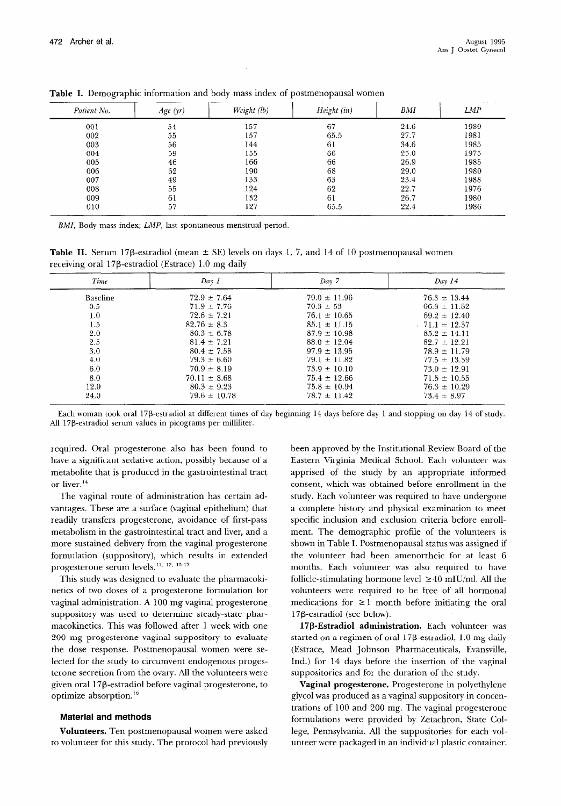| Patient No. | Age(yr) | Weight (lb) | Height (in) | <b>BMI</b> | <b>LMP</b> |
|-------------|---------|-------------|-------------|------------|------------|
| 001         | 54      | 157         | 67          | 24.6       | 1989       |
| 002         | 55      | 157         | 65.5        | 27.7       | 1981       |
| 003         | 56      | 144         | 61          | 34.6       | 1985       |
| 004         | 59      | 155         | 66          | 25.0       | 1975       |
| 005         | 46      | 166         | 66          | 26.9       | 1985       |
| 006         | 62      | 190         | 68          | 29.0       | 1980       |
| 007         | 49      | 133         | 63          | 23.4       | 1988       |
| 008         | 55      | 124         | 62          | 22.7       | 1976       |
| 009         | 61      | 132         | 61          | 26.7       | 1980       |
| 010         | 57      | 127         | 65.5        | 22.4       | 1986       |

Table I. Demographic information and body mass index of postmenopausal women

BMI, Body mass index; LMP, last spontaneous menstrual period.

**Table II.** Serum 17 $\beta$ -estradiol (mean  $\pm$  SE) levels on days 1, 7, and 14 of 10 postmenopausal women receiving oral 17P-estradiol (Estrace) 1.0 mg daily

| Time            | Day 1            | Day 7            | Day 14            |
|-----------------|------------------|------------------|-------------------|
| <b>Baseline</b> | $72.9 \pm 7.64$  | $79.0 \pm 11.96$ | $76.3 \pm 13.44$  |
| 0.5             | $71.9 \pm 7.76$  | $70.3 \pm 53$    | $66.8 \pm 11.82$  |
| 1.0             | $72.6 \pm 7.21$  | $76.1 \pm 10.65$ | $69.2 \pm 12.40$  |
| 1.5             | $82.76 \pm 8.3$  | $85.1 \pm 11.15$ | $.71.1 \pm 12.37$ |
| 2.0             | $80.3 \pm 6.78$  | $87.9 \pm 10.98$ | $85.2 \pm 14.11$  |
| 2.5             | $81.4 \pm 7.21$  | $88.0 \pm 12.04$ | $82.7 \pm 12.21$  |
| 3.0             | $80.4 \pm 7.58$  | $97.9 \pm 13.95$ | $78.9 \pm 11.79$  |
| 4.0             | $79.3 \pm 6.60$  | $79.1 \pm 11.82$ | $77.5 \pm 13.39$  |
| 6.0             | $70.9 \pm 8.19$  | $73.9 \pm 10.10$ | $73.0 \pm 12.91$  |
| 8.0             | $70.11 \pm 8.68$ | $75.4 \pm 12.66$ | $71.5 \pm 10.55$  |
| 12.0            | $80.3 \pm 9.23$  | $75.8 \pm 10.94$ | $76.3 \pm 10.29$  |
| 24.0            | $79.6 \pm 10.78$ | $78.7 \pm 11.42$ | $73.4 \pm 8.97$   |

Each woman took oral 17P-estradiol at different times of day beginning 14 days before day 1 and stopping on day 14 of study. All 17P-estradiol serum values in picograms per milliliter.

required. Oral progesterone also has been found to have a significant sedative action, possibly because of a metabolite that is produced in the gastrointestinal tract or liver.<sup>14</sup>

The vaginal route of administration has certain advantages. These are a surface (vaginal epithelium) that readily transfers progesterone, avoidance of first-pass metabolism in the gastrointestinal tract and liver, and a more sustained delivery from the vaginal progesterone formulation (suppository), which results in extended progesterone serum levels.<sup>11, 12, 15-17</sup>

This study was designed to evaluate the pharmacokinetics of two doses of a progesterone formulation for vaginal administration. A 100 mg vaginal progesterone suppository was used to determine steady-state pharmacokinetics. This was followed after 1 week with one 200 mg progesterone vaginal suppository to evaluate the dose response. Postmenopausal women were selected for the study to circumvent endogenous progesterone secretion from the ovary. All the volunteers were given oral 17@-estradiol before vaginal progesterone, to optimize absorption."

#### Material and methods

Volunteers. Ten postmenopausal women were asked to volunteer for this study. The protocol had previously

been approved by the Institutional Review Board of the Eastern Virginia Medical School. Each volunteer was apprised of the study by an appropriate informed consent, which was obtained before enrollment in the study. Each volunteer was required to have undergone a complete history and physical examination to meet specific inclusion and exclusion criteria before enrollment. The demographic profile of the volunteers is shown in Table I. Postmenopausal status was assigned if the volunteer had been amenorrheic for at least 6 months. Each volunteer was also required to have follicle-stimulating hormone level  $\geq 40$  mIU/ml. All the volunteers were required to be free of all hormonal medications for  $\geq 1$  month before initiating the oral  $17\beta$ -estradiol (see below).

17P-Estradiol administration. Each volunteer was started on a regimen of oral 17P-estradiol, 1.0 mg daily (Estrace, Mead Johnson Pharmaceuticals, Evansville, Ind.) for 14 days before the insertion of the vaginal suppositories and for the duration of the study.

Vaginal progesterone. Progesterone in polyethylene glycol was produced as a vaginal suppository in concentrations of 100 and 200 mg. The vaginal progesterone formulations were provided by Zetachron, State College, Pennsylvania. All the suppositories for each volunteer were packaged in an individual plastic container.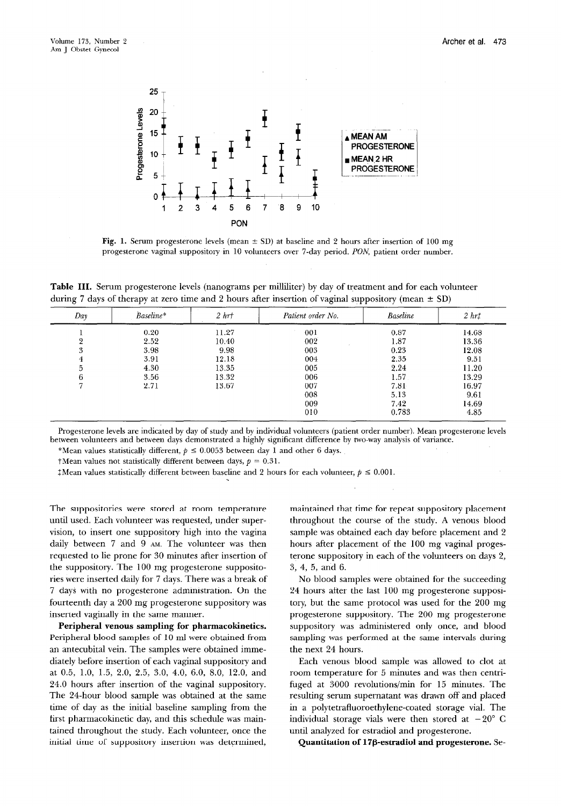

Fig. 1. Serum progesterone levels (mean  $\pm$  SD) at baseline and 2 hours after insertion of 100 mg progesterone vaginal suppository in 10 volunteers over 7-day period. PON, patient order number.

Table III. Serum progesterone levels (nanograms per milliliter) by day of treatment and for each volunteer during 7 days of therapy at zero time and 2 hours after insertion of vaginal suppository (mean  $\pm$  SD)

| Day | Baseline* | 2 hrt | Patient order No. | <b>Baseline</b> | 2 hrt |
|-----|-----------|-------|-------------------|-----------------|-------|
|     | 0.20      | 11.27 | 001               | 0.87            | 14.68 |
| ິດ  | 2.52      | 10.40 | 002               | 1.87            | 13.36 |
| 3   | 3.98      | 9.98  | 003               | 0.23            | 12.08 |
|     | 3.91      | 12.18 | 004               | 2.35            | 9.51  |
|     | 4.30      | 13.35 | 005               | 2.24            | 11.20 |
| 6   | 3.56      | 13.32 | 006               | 1.57            | 13.29 |
|     | 2.71      | 13.67 | 007               | 7.81            | 16.97 |
|     |           |       | 008               | 5.13            | 9.61  |
|     |           |       | 009               | 7.42            | 14.69 |
|     |           |       | 010               | 0.783           | 4.85  |

Progesterone levels are indicated by day of study and by individual volunteers (patient order number). Mean progesterone levels between volunteers and between days demonstrated a highly significant difference by two-way analysis of variance.

\*Mean values statistically different,  $p \le 0.0053$  between day 1 and other 6 days.

 $\dagger$ Mean values not statistically different between days,  $p = 0.31$ .

 $\text{\tt 1}$ Mean values statistically different between baseline and 2 hours for each volunteer,  $p \le 0.001$ .

The suppositories were stored at room temperature until used. Each volunteer was requested, under supervision, to insert one suppository high into the vagina daily between 7 and 9 AM. The volunteer was then requested to lie prone for 30 minutes after insertion of the suppository. The 100 mg progesterone suppositories were inserted daily for 7 days. There was a break of 7 days with no progesterone administration. On the fourteenth day a 200 mg progesterone suppository was inserted vaginally in the same manner.

Peripheral venous sampling for pharmacokinetics. Peripheral blood samples of 10 ml were obtained from an antecubital vein. The samples were obtained immediately before insertion of each vaginal suppository and at 0.5, 1.0, 1.5, 2.0, 2.5, 3.0, 4.0, 6.0, 8.0, 12.0, and 24.0 hours after insertion of the vaginal suppository. The 24-hour blood sample was obtained at the same time of day as the initial baseline sampling from the first pharmacokinetic day, and this schedule was maintained throughout the study. Each volunteer, once the initial time of suppository insertion was determined,

maintained that time for repeat suppository placement throughout the course of the study. A venous blood sample was obtained each day before placement and 2 hours after placement of the 100 mg vaginal progesterone suppository in each of the volunteers on days 2, 3, 4, 5, and 6.

No blood samples were obtained for the succeeding 24 hours after the last 100 mg progesterone suppository, but the same protocol was used for the 200 mg progesterone suppository. The 200 mg progesterone suppository was administered only once, and blood sampling was performed at the same intervals during the next 24 hours.

Each venous blood sample was allowed to clot at room temperature for 5 minutes and was then centrifuged at 3000 revolutions/min for 15 minutes. The resulting serum supernatant was drawn off and placed in a polytetrafluoroethylene-coated storage vial. The individual storage vials were then stored at  $-20^{\circ}$  C until analyzed for estradiol and progesterone.

Quantitation of l?'P-estradiol and progesterone. Se-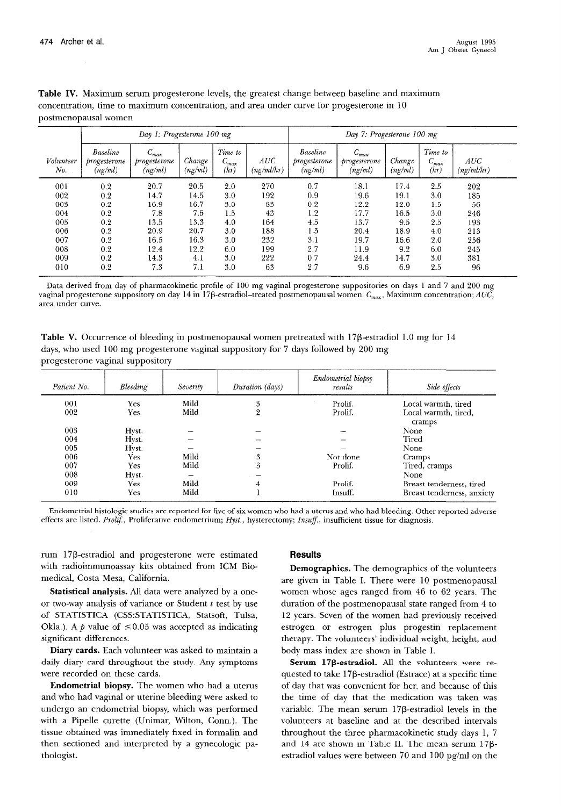|                  | Day 1: Progesterone 100 mg           |                                      |                   | Day 7: Progesterone 100 mg   |                   |                                             |                                       |                   |                              |                   |
|------------------|--------------------------------------|--------------------------------------|-------------------|------------------------------|-------------------|---------------------------------------------|---------------------------------------|-------------------|------------------------------|-------------------|
| Volunteer<br>No. | Baseline<br>progresserone<br>(ng/ml) | $C_{max}$<br>progesterone<br>(ng/ml) | Change<br>(ng/ml) | Time to<br>$C_{max}$<br>(hr) | AUC<br>(ng/ml/hr) | <b>Baseline</b><br>progresserone<br>(ng/ml) | $C_{max}$<br>progresserone<br>(ng/ml) | Change<br>(ng/ml) | Time to<br>$C_{max}$<br>(hr) | AUC<br>(ng/ml/hr) |
| 001              | 0.2                                  | 20.7                                 | 20.5              | 2.0                          | 270               | 0.7                                         | 18.1                                  | 17.4              | 2.5                          | 202               |
| 002              | 0.2                                  | 14.7                                 | 14.5              | 3.0                          | 192               | 0.9                                         | 19.6                                  | 19.1              | 3.0                          | 185               |
| 003              | 0.2                                  | 16.9                                 | 16.7              | 3.0                          | 83                | 0.2                                         | 12.2                                  | 12.0              | 1.5                          | 56                |
| 004              | 0.2                                  | 7.8                                  | 7.5               | 1.5                          | 43                | 1.2                                         | 17.7                                  | 16.5              | 3.0                          | 246               |
| 005              | 0.2                                  | 13.5                                 | 13.3              | 4.0                          | 164               | 4.5                                         | 13.7                                  | 9.5               | 2.5                          | 193               |
| 006              | 0.2                                  | 20.9                                 | 20.7              | 3.0                          | 188               | 1.5                                         | 20.4                                  | 18.9              | 4.0                          | 213               |
| 007              | 0.2                                  | 16.5                                 | 16.3              | 3.0                          | 232               | 3.1                                         | 19.7                                  | 16.6              | 2.0                          | 256               |
| 008              | 0.2                                  | 12.4                                 | 12.2              | 6.0                          | 199               | 2.7                                         | 11.9                                  | 9.2               | 6.0                          | 245               |
| 009              | 0.2                                  | 14.3                                 | 4.1               | 3.0                          | 222               | 0.7                                         | 24.4                                  | 14.7              | 3.0                          | 381               |
| 010              | 0.2                                  | 7.3                                  | 7.1               | 3.0                          | 63                | 2.7                                         | 9.6                                   | 6.9               | 2.5                          | 96                |

Table IV. Maximum serum progesterone levels, the greatest change between baseline and maximum concentration, time to maximum concentration, and area under curve for progesterone in 10 postmenopausal women

Data derived from day of pharmacokinetic profile of 100 mg vaginal progesterone suppositories on days 1 and 7 and 200 mg vaginal progesterone suppository on day 14 in 17B-estradiol-treated postmenopausal women.  $C_{max}$ , Maximum concentration; AUC, area under curve.

Table V. Occurrence of bleeding in postmenopausal women pretreated with  $17\beta$ -estradiol 1.0 mg for 14 days, who used 100 mg progesterone vaginal suppository for 7 days followed by 200 mg progesterone vaginal suppository

| Patient No. | Bleeding | Severity | Duration (days) | Endometrial biopsy<br>results | Side effects                   |
|-------------|----------|----------|-----------------|-------------------------------|--------------------------------|
| 001         | Yes      | Mild     | 3               | Prolif.                       | Local warmth, tired            |
| 002         | Yes      | Mild     | 2               | Prolif.                       | Local warmth, tired,<br>cramps |
| 003         | Hyst.    |          |                 |                               | None                           |
| 004         | Hyst.    |          |                 |                               | Tired                          |
| 005         | Hyst.    |          |                 |                               | None                           |
| 006         | Yes      | Mild     | 3               | Not done                      | Cramps                         |
| 007         | Yes      | Mild     | 3               | Prolif.                       | Tired, cramps                  |
| 008         | Hyst.    | --       |                 |                               | None                           |
| 009         | Yes.     | Mild     | 4               | Prolif.                       | Breast tenderness, tired       |
| 010         | Yes      | Mild     |                 | Insuff.                       | Breast tenderness, anxiety     |

Endometrial histologic studies are reported for five of six women who had a uterus and who had bleeding. Other reported adverse effects are listed. Prolif., Proliferative endometrium; Hyst., hysterectomy; Insuff., insufficient tissue for diagnosis.

rum 17P-estradiol and progesterone were estimated with radioimmunoassay kits obtained from ICM Biomedical, Costa Mesa, California.

Statistical analysis. All data were analyzed by a oneor two-way analysis of variance or Student  $t$  test by use of STATISTICA (CSS:STATISTICA, Statsoft, Tulsa, Okla.). A p value of  $\leq 0.05$  was accepted as indicating significant differences.

Diary cards. Each volunteer was asked to maintain a daily diary card throughout the study. Any symptoms were recorded on these cards.

Endometrial biopsy. The women who had a uterus and who had vaginal or uterine bleeding were asked to undergo an endometrial biopsy, which was performed with a Pipelle curette (Unimar, Wilton, Conn.). The tissue obtained was immediately fixed in formalin and then sectioned and interpreted by a gynecologic pathologist.

## **Results**

Demographics. The demographics of the volunteers are given in Table I. There were 10 postmenopausal women whose ages ranged from 46 to 62 years. The duration of the postmenopausal state ranged from 4 to 12 years. Seven of the women had previously received estrogen or estrogen plus progestin replacement therapy. The volunteers' individual weight, height, and body mass index are shown in Table I.

Serum 178-estradiol. All the volunteers were requested to take 17P-estradiol (Estrace) at a specific time of day that was convenient for her, and because of this the time of day that the medication was taken was variable. The mean serum  $17\beta$ -estradiol levels in the volunteers at baseline and at the described intervals throughout the three pharmacokinetic study days 1, 7 and 14 are shown in Table II. The mean serum 17pestradiol values were between 70 and 100 pg/ml on the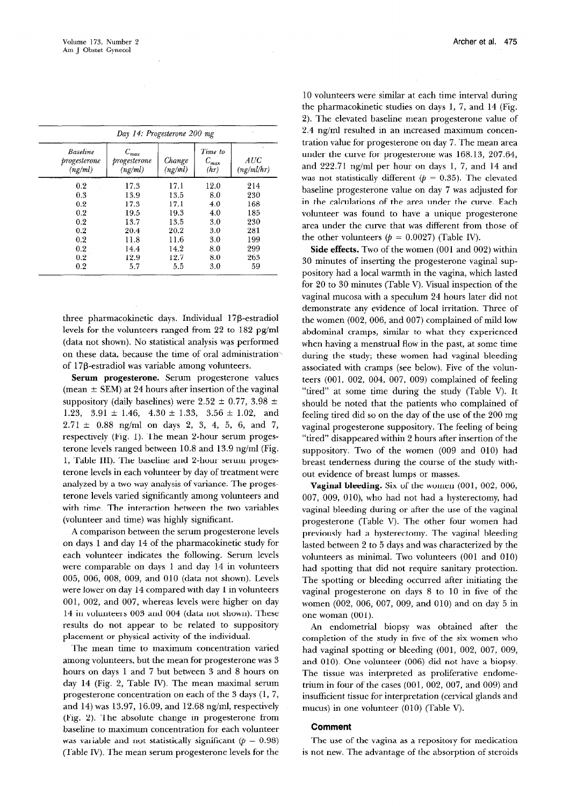|                                            | Day 14: Progesterone 200 mg              |                   |                              |                   |  |  |
|--------------------------------------------|------------------------------------------|-------------------|------------------------------|-------------------|--|--|
| <b>Baseline</b><br>progesterone<br>(ng/ml) | $C_{\it max}$<br>progesterone<br>(ng/ml) | Change<br>(ng/ml) | Time to<br>$C_{max}$<br>(hr) | AUC<br>(ng/ml/hr) |  |  |
| 0.2                                        | 17.3                                     | 17.1              | 12.0                         | 214               |  |  |
| 0.3                                        | 13.9                                     | 13.5              | 8.0                          | 230               |  |  |
| 0.2                                        | 17.3                                     | 17.1              | 4.0                          | 168               |  |  |
| 0.2                                        | 19.5                                     | 19.3              | 4.0                          | 185               |  |  |
| 0.2                                        | 13.7                                     | 13.5              | 3.0                          | 230               |  |  |
| 0.2                                        | 20.4                                     | 20.2              | 3.0                          | 281               |  |  |
| 0.2                                        | 11.8                                     | 11.6              | 3.0                          | 199               |  |  |
| 0.2                                        | 14.4                                     | 14.2              | 8.0                          | 299               |  |  |
| 0.2                                        | 12.9                                     | 12.7              | 8.0                          | 263               |  |  |
| 0.2                                        | 5.7                                      | 5.5               | 3.0                          | 59                |  |  |

three pharmacokinetic days. Individual 17P-estradiol levels for the volunteers ranged from 22 to 182 pg/ml (data not shown). No statistical analysis was performed on these data, because the time of oral administrationof 17P-estradiol was variable among volunteers.

Serum progesterone. Serum progesterone values (mean  $\pm$  SEM) at 24 hours after insertion of the vaginal suppository (daily baselines) were  $2.52 \pm 0.77$ ,  $3.98 \pm$ 1.23, 3.91  $\pm$  1.46, 4.30  $\pm$  1.33, 3.56  $\pm$  1.02, and  $2.71 \pm 0.88$  ng/ml on days 2, 3, 4, 5, 6, and 7, respectively (Fig. 1). The mean 2-hour serum progesterone levels ranged between  $10.8$  and  $13.9$  ng/ml (Fig. 1, Table III). The baseline and 2-hour serum progesterone levels in each volunteer by day of treatment were analyzed by a two-way analysis of variance. The progesterone levels varied significantly among volunteers and with time. The interaction between the two variables (volunteer and time) was highly significant.

A comparison between the serum progesterone levels on days 1 and day 14 of the pharmacokinetic study for each volunteer indicates the following. Serum levels were comparable on days 1 and day 14 in volunteers 005, 006, 008, 009, and 010 (data not shown). Levels were lower on day 14 compared with day 1 in volunteers 001, 002, and 007, whereas levels were higher on day 14 in volunteers 003 and 004 (data not shown). These results do not appear to be related to suppository placement or physical activity of the individual.

The mean time to maximum concentration varied among volunteers, but the mean for progesterone was 3 hours on days 1 and 7 but between 3 and 8 hours on day 14 (Fig. 2, Table IV). The mean maximal serum progesterone concentration on each of the 3 days (1, 7, and 14) was 13.97, 16.09, and 12.68 ng/ml, respectively (Fig. 2). The absolute change in progesterone from baseline to maximum concentration for each volunteer was variable and not statistically significant ( $p = 0.98$ ) (Table IV). The mean serum progesterone levels for the

10 volunteers were similar at each time interval during the pharmacokinetic studies on days 1, 7, and 14 (Fig. 2). The elevated baseline mean progesterone value of 2.4 ng/ml resulted in an increased maximum concentration value for progesterone on day 7. The mean area under the curve for progesterone was 168.13, 207.64, and  $222.71$  ng/ml per hour on days 1, 7, and 14 and was not statistically different ( $p = 0.35$ ). The elevated baseline progesterone value on day 7 was adjusted for in the calculations of the area under the curve. Each volunteer was found to have a unique progesterone area under the curve that was different from those of the other volunteers ( $p = 0.0027$ ) (Table IV).

Side effects. Two of the women (001 and 002) within 30 minutes of inserting the progesterone vaginal suppository had a local warmth in the vagina, which lasted for 20 to 30 minutes (Table V). Visual inspection of the vaginal mucosa with a speculum 24 hours later did not demonstrate any evidence of local irritation. Three of the women (002, 006, and 007) complained of mild low abdominal cramps, similar to what they experienced when having a menstrual flow in the past, at some time during the study; these women had vaginal bleeding associated with cramps (see below). Five of the volunteers (001, 002, 004, 007, 009) complained of feeling "tired" at some time during the study (Table V). It should be noted that the patients who complained of feeling tired did so on the day of the use of the 200 mg vaginal progesterone suppository. The feeling of being "tired" disappeared within 2 hours after insertion of the suppository. Two of the women (009 and 010) had breast tenderness during the course of the study without evidence of breast lumps or masses.

Vaginal bleeding. Six of the women (001, 002, 006, 007, 009, OlO), who had not had a hysterectomy, had vaginal bleeding during or after the use of the vaginal progesterone (Table V). The other four women had previously had a hysterectomy. The vaginal bleeding lasted between 2 to 5 days and was characterized by the volunteers as minimal. Two volunteers (001 and 010) had spotting that did not require sanitary protection. The spotting or bleeding occurred after initiating the vaginal progesterone on days 8 to 10 in five of the women (002, 006, 007, 009, and 010) and on day 5 in one woman (001).

An endometrial biopsy was obtained after the completion of the study in five of the six women who had vaginal spotting or bleeding (001, 002, 007, 009, and 010). One volunteer (006) did not have a biopsy. The tissue was interpreted as proliferative endometrium in four of the cases (001, 002, 007, and 009) and insufficient tissue for interpretation (cervical glands and mucus) in one volunteer (010) (Table V).

#### Comment

The use of the vagina as a repository for medication is not new. The advantage of the absorption of steroids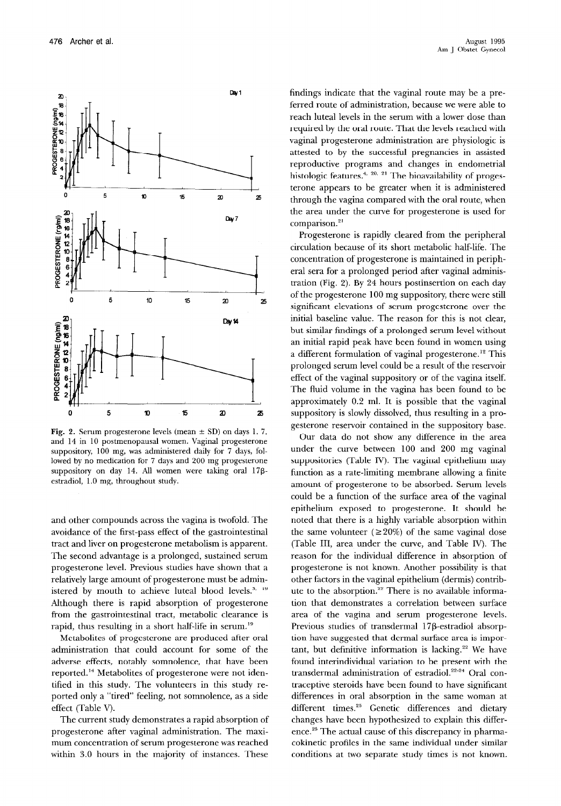

Fig. 2. Serum progesterone levels (mean  $\pm$  SD) on days 1, 7, and 14 in 10 postmenopausal women. Vaginal progesterone suppository, 100 mg, was administered daily for 7 days, followed by no medication for 7 days and 200 mg progesterone suppository on day 14. All women were taking oral 178estradiol, 1.0 mg, throughout study.

and other compounds across the vagina is twofold. The avoidance of the first-pass effect of the gastrointestinal tract and liver on progesterone metabolism is apparent. The second advantage is a prolonged, sustained serum progesterone level. Previous studies have shown that a relatively large amount of progesterone must be administered by mouth to achieve luteal blood levels.<sup>3, 19</sup> Although there is rapid absorption of progesterone from the gastrointestinal tract, metabolic clearance is rapid, thus resulting in a short half-life in serum.<sup>19</sup>

Metabolites of progesterone are produced after oral administration that could account for some of the adverse effects, notably somnolence, that have been reported.14 Metabolites of progesterone were not identified in this study. The volunteers in this study reported only a "tired" feeling, not somnolence, as a side effect (Table V).

The current study demonstrates a rapid absorption of progesterone after vaginal administration. The maximum concentration of serum progesterone was reached within 3.0 hours in the majority of instances. These findings indicate that the vaginal route may be a preferred route of administration, because we were able to reach luteal levels in the serum with a lower dose than required by the oral route. That the levels reached with vaginal progesterone administration are physiologic is attested to by the successful pregnancies in assisted reproductive programs and changes in endometrial histologic features.<sup>4, 20, 21</sup> The bioavailability of progesterone appears to be greater when it is administered through the vagina compared with the oral route, when the area under the curve for progesterone is used for comparison.<sup>21</sup>

Progesterone is rapidly cleared from the peripheral circulation because of its short metabolic half-life. The concentration of progesterone is maintained in peripheral sera for a prolonged period after vaginal administration (Fig. 2). By 24 hours postinsertion on each day of the progesterone 100 mg suppository, there were still significant elevations of serum progesterone over the initial baseline value. The reason for this is not clear, but similar findings of a prolonged serum level without an initial rapid peak have been found in women using a different formulation of vaginal progesterone.<sup>12</sup> This prolonged serum level could be a result of the reservoir effect of the vaginal suppository or of the vagina itself. The fluid volume in the vagina has been found to be approximately 0.2 ml. It is possible that the vaginal suppository is slowly dissolved, thus resulting in a progesterone reservoir contained in the suppository base.

Our data do not show any difference in the area under the curve between 100 and 200 mg vaginal suppositories (Table IV). The vaginal epithelium may function as a rate-limiting membrane allowing a finite amount of progesterone to be absorbed. Serum levels could be a function of the surface area of the vaginal epithelium exposed to progesterone. It should be noted that there is a highly variable absorption within the same volunteer ( $\geq 20\%$ ) of the same vaginal dose (Table III, area under the curve, and Table IV). The reason for the individual difference in absorption of progesterone is not known. Another possibility is that other factors in the vaginal epithelium (dermis) contribute to the absorption.<sup>22</sup> There is no available information that demonstrates a correlation between surface area of the vagina and serum progesterone levels. Previous studies of transdermal 17ß-estradiol absorption have suggested that dermal surface area is important, but definitive information is lacking.<sup>22</sup> We have found interindividual variation to be present with the transdermal administration of estradiol.<sup>22-24</sup> Oral contraceptive steroids have been found to have significant differences in oral absorption in the same woman at different times.<sup>25</sup> Genetic differences and dietary changes have been hypothesized to explain this difference.<sup>25</sup> The actual cause of this discrepancy in pharmacokinetic profiles in the same individual under similar conditions at two separate study times is not known.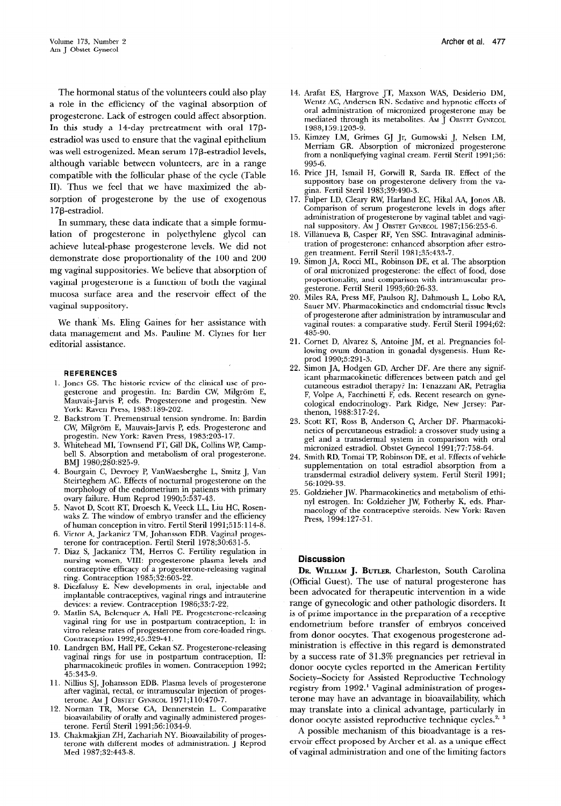The hormonal status of the volunteers could also play a role in the efficiency of the vaginal absorption of progesterone. Lack of estrogen could affect absorption. In this study a 14-day pretreatment with oral 17pestradiol was used to ensure that the vaginal epithelium was well estrogenized. Mean serum 17P-estradiol levels, although variable between volunteers, are in a range compatible with the follicular phase of the cycle (Table II). Thus we feel that we have maximized the absorption of progesterone by the use of exogenous 17P-estradiol.

In summary, these data indicate that a simple formulation of progesterone in polyethylene glycol can achieve luteal-phase progesterone levels. We did not demonstrate dose proportionality of the 100 and 200 mg vaginal suppositories. We believe that absorption of vaginal progesterone is a function of both the vaginal mucosa surface area and the reservoir effect of the vaginal suppository.

We thank Ms. Eling Gaines for her assistance with data management and Ms. Pauline M. Clynes for her editorial assistance.

#### REFERENCES

- 1. Jones GS. The historic review of the clinical use of progesterone and progestin. In: Bardin CW, Milgrom E, Mauvais-Jarvis P, eds. Progesterone and progestin. New York: Raven Press, 1983:189-202.
- 2. Backstrom T. Premenstrual tension syndrome. In: Bard CW, Milgrom E, Mauvais-Jarvis P, eds. Progesterone and progestin. New York: Raven Press, 1983:203-17.
- 3. Whitehead MI, Townsend PT, Gill DK, Collins WP, Campbell S. Absorption and metabolism of oral progesterone. BMJ 1980;280:825-9.
- 4. Bourgain C, Devroey P, VanWaesberghe L, Smitz J, Van Steirteghem AC. Effects of nocturnal progesterone on the morphology of the endometrium in patients with primary ovary failure. Hum Reprod 1990;5:537-43.
- 5. Navot D, Scott RT, Droesch K, Veeck LL, Liu HC, Rosenwaks 2. The window of embryo transfer and the efficiency of human conception in vitro. Fertil Steril 1991;515:114-8.
- 6. Victor A, Jackanicz TM, Johansson EDB. Vaginal progesterone for contraception. Fertil Steril 1978;30:631-5.
- 7. Diaz S, Jackanicz TM, Herros C. Fertility regulation in nursing women, VIII: progesterone plasma levels and contraceptive efficacy of a progesterone-releasing vaginal ring. Contraception 1985;32:603-22.
- 8. Diczfalusy E. New developments in oral, injectable and implantable contraceptives, vaginal rings and intrauterine devices: a review. Contraception 1986;33:7-22.
- 9. Matlin SA, Belenquer A, Hall PE. Progesterone-re vaginal ring for use in postpartum contraception, I: in vitro release rates of progesterone from core-loaded rings. Contraception 1992;45:329-41.
- 10. Landrgen BM, Hall PE, Cekan SZ. Progesterone-re vaginal rings for use in postpartum contraception, II: pharmacokinetic profiles in women. Contraception 1992; 45:343-g.
- 11. Nillius SJ, Johansson EDB, Plasma levels of progester after vaginal, rectal, or intramuscular injection of progesterone. AM J OBSTET GYNECOL 1971;110:470-7.
- 19. Norman TR, Morse CA, Dennerstein L. Compara bioavailability of orally and vaginally administered progesterone. Fertil Steril 1991;56:1034-9.
- 13. Chakmakjian ZH, Zachariah NY. Bioavailability of progesterone with different modes of administration. J Reprod Med 1987;32:443-8.
- 14. Arafat ES, Hargrove JT, Maxson WAS, Desiderio DM, Wentz AC, Andersen RN. Sedative and hypnotic effects of oral administration of micronized progesterone may be mediated through its metabolites. AM J OBSTET GYNECOL 1988;159:1203-9.
- 15. Kimzey LM, Grimes GJ Jr, Gumowski J, Nelsen LM, Merriam GR. Absorption of micronized progesterone from a nonliquefying vaginal cream. Fertil Steril 1991;56: 995-6.
- 16. Price lH, Ismail H, Got-will R, Sarda IR. Effect of the suppository base on progesterone delivery from the vagina. Fertil Steril 1983;39:490-3.
- 17. Fulper LD, Cleary RW, Harland EC, Hikal AA, Jonos AB. Comparison of serum progesterone levels in dogs after administration of progesterone by vaginal tablet and vaginal suppository. AM J OBSTET GYNECOL 1987;156:253-6.
- 18. Villanueva B, Casper RF, Yen SSC. Intravaginal administration of progesterone: enhanced absorption after estrogen treatment. Fertil Steril 1981;35:433-7.
- 19. Simon JA, Rocci ML, Robinson DE, et al. The absorption of oral micronized progesterone: the effect of food, dose proportionality, and comparison with intramuscular progesterone. Fertil Steril 1993;60:26-33.
- 20. Miles RA, Press MF, Paulson RJ, Dahmoush L, Lobo RA, Sauer MV. Pharmacokinetics and endometrial tissue levels of progesterone after administration by intramuscular and vaginal routes: a comparative study. Fertil Steril 1994;62: 485-90.
- 21. Cornet D, Alvarez S, Antoine JM, et al. Pregnancies following ovum donation in gonadal dysgenesis. Hum Reprod 1990;5:291-3.
- 22. Simon JA, Hodgen GD, Archer DF. Are there any significant pharmacokinetic differences between patch and gel cutaneous estradiol therapy? In: Tenazzani AR, Petraglia F, Volpe A, Facchinetti F, eds. Recent research on gynecological endocrinology. Park Ridge, New Jersey: Parthenon, 1988:317-24.
- 23. Scott RT, Ross B, Anderson C, Archer DF. Pharmacokinetics of percutaneous estradiol: a crossover study using a gel and a transdermal system in comparison with oral micronized estradiol. Obstet Gynecol 1991;77:758-64.
- 24. Smith RD, Tomai TP, Robinson DE, et al. Effects of vehicle supplementation on total estradiol absorption from a transdermal estradiol delivery system. Fertil Steril 1991; 56:1029-33.
- 25. Goldzieher JW. Pharmacokinetics and metabolism of ethinyl estrogen. In: Goldzieher JW, Fotherby K, eds. Pharmacology of the contraceptive steroids. New York: Raven Press, 1994:127-51.

### Discussion

DR. WILLIAM J. BUTLER, Charleston, South Carolina (Official Guest). The use of natural progesterone has been advocated for therapeutic intervention in a wide range of gynecologic and other pathologic disorders. It is of prime importance in the preparation of a receptive endometrium before transfer of embryos conceived from donor oocytes. That exogenous progesterone administration is effective in this regard is demonstrated by a success rate of 31.3% pregnancies per retrieval in donor oocyte cycles reported in the American Fertility Society-Society for Assisted Reproductive Technology registry from 1992.' Vaginal administration of progesterone may have an advantage in bioavailability, which may translate into a clinical advantage, particularly in donor oocyte assisted reproductive technique cycles.<sup>2, 3</sup>

A possible mechanism of this bioadvantage is a reservoir effect proposed by Archer et al. as a unique effect of vaginal administration and one of the limiting factors